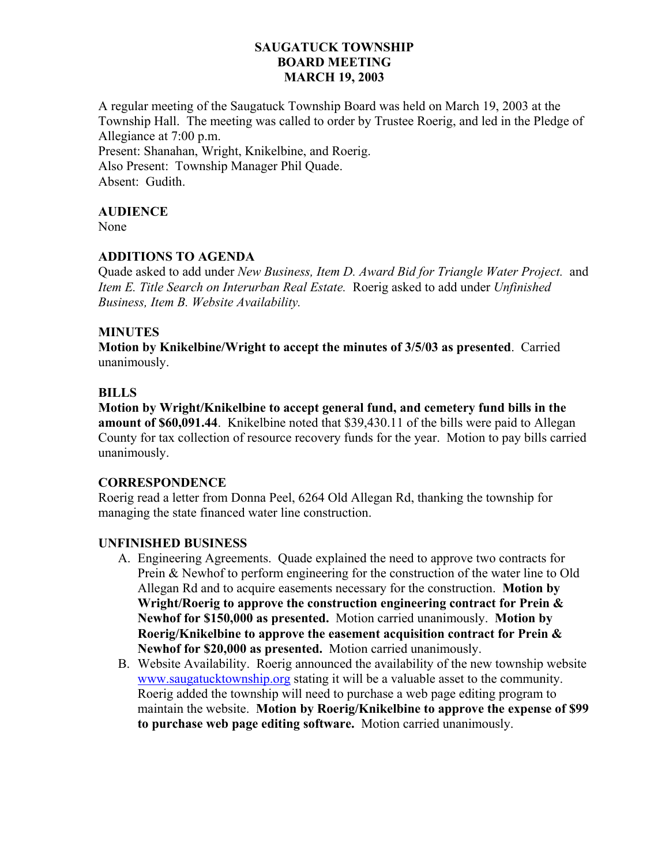## **SAUGATUCK TOWNSHIP BOARD MEETING MARCH 19, 2003**

A regular meeting of the Saugatuck Township Board was held on March 19, 2003 at the Township Hall. The meeting was called to order by Trustee Roerig, and led in the Pledge of Allegiance at 7:00 p.m. Present: Shanahan, Wright, Knikelbine, and Roerig. Also Present: Township Manager Phil Quade.

Absent: Gudith.

## **AUDIENCE**

None

### **ADDITIONS TO AGENDA**

Quade asked to add under *New Business, Item D. Award Bid for Triangle Water Project.* and *Item E. Title Search on Interurban Real Estate.* Roerig asked to add under *Unfinished Business, Item B. Website Availability.*

### **MINUTES**

**Motion by Knikelbine/Wright to accept the minutes of 3/5/03 as presented**. Carried unanimously.

### **BILLS**

**Motion by Wright/Knikelbine to accept general fund, and cemetery fund bills in the amount of \$60,091.44**. Knikelbine noted that \$39,430.11 of the bills were paid to Allegan County for tax collection of resource recovery funds for the year. Motion to pay bills carried unanimously.

# **CORRESPONDENCE**

Roerig read a letter from Donna Peel, 6264 Old Allegan Rd, thanking the township for managing the state financed water line construction.

#### **UNFINISHED BUSINESS**

- A. Engineering Agreements. Quade explained the need to approve two contracts for Prein & Newhof to perform engineering for the construction of the water line to Old Allegan Rd and to acquire easements necessary for the construction. **Motion by Wright/Roerig to approve the construction engineering contract for Prein & Newhof for \$150,000 as presented.** Motion carried unanimously. **Motion by Roerig/Knikelbine to approve the easement acquisition contract for Prein & Newhof for \$20,000 as presented.** Motion carried unanimously.
- B. Website Availability. Roerig announced the availability of the new township website www.saugatucktownship.org stating it will be a valuable asset to the community. Roerig added the township will need to purchase a web page editing program to maintain the website. **Motion by Roerig/Knikelbine to approve the expense of \$99 to purchase web page editing software.** Motion carried unanimously.